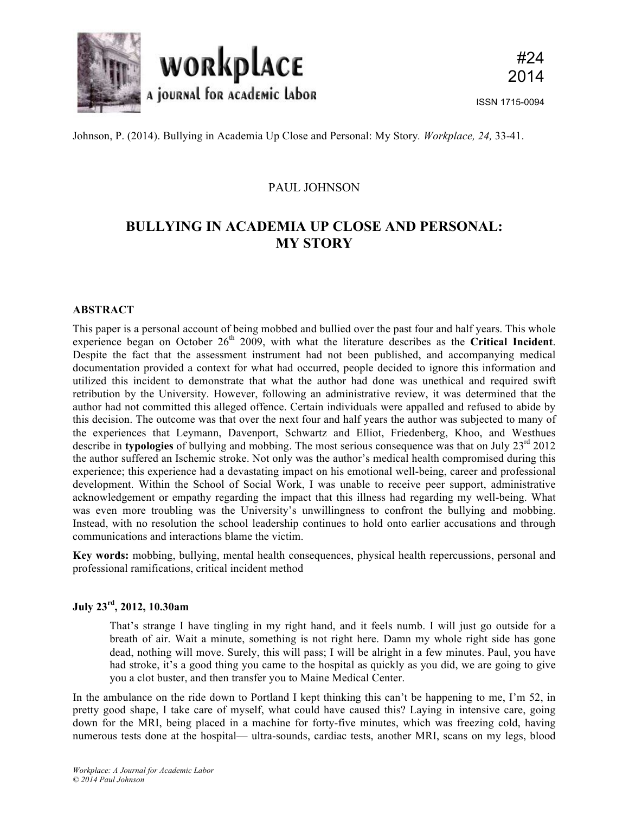

Johnson, P. (2014). Bullying in Academia Up Close and Personal: My Story*. Workplace, 24,* 33-41.

## PAUL JOHNSON

# **BULLYING IN ACADEMIA UP CLOSE AND PERSONAL: MY STORY**

## **ABSTRACT**

This paper is a personal account of being mobbed and bullied over the past four and half years. This whole experience began on October 26<sup>th</sup> 2009, with what the literature describes as the **Critical Incident**. Despite the fact that the assessment instrument had not been published, and accompanying medical documentation provided a context for what had occurred, people decided to ignore this information and utilized this incident to demonstrate that what the author had done was unethical and required swift retribution by the University. However, following an administrative review, it was determined that the author had not committed this alleged offence. Certain individuals were appalled and refused to abide by this decision. The outcome was that over the next four and half years the author was subjected to many of the experiences that Leymann, Davenport, Schwartz and Elliot, Friedenberg, Khoo, and Westhues describe in **typologies** of bullying and mobbing. The most serious consequence was that on July 23<sup>rd</sup> 2012 the author suffered an Ischemic stroke. Not only was the author's medical health compromised during this experience; this experience had a devastating impact on his emotional well-being, career and professional development. Within the School of Social Work, I was unable to receive peer support, administrative acknowledgement or empathy regarding the impact that this illness had regarding my well-being. What was even more troubling was the University's unwillingness to confront the bullying and mobbing. Instead, with no resolution the school leadership continues to hold onto earlier accusations and through communications and interactions blame the victim.

**Key words:** mobbing, bullying, mental health consequences, physical health repercussions, personal and professional ramifications, critical incident method

## **July 23rd, 2012, 10.30am**

That's strange I have tingling in my right hand, and it feels numb. I will just go outside for a breath of air. Wait a minute, something is not right here. Damn my whole right side has gone dead, nothing will move. Surely, this will pass; I will be alright in a few minutes. Paul, you have had stroke, it's a good thing you came to the hospital as quickly as you did, we are going to give you a clot buster, and then transfer you to Maine Medical Center.

In the ambulance on the ride down to Portland I kept thinking this can't be happening to me, I'm 52, in pretty good shape, I take care of myself, what could have caused this? Laying in intensive care, going down for the MRI, being placed in a machine for forty-five minutes, which was freezing cold, having numerous tests done at the hospital— ultra-sounds, cardiac tests, another MRI, scans on my legs, blood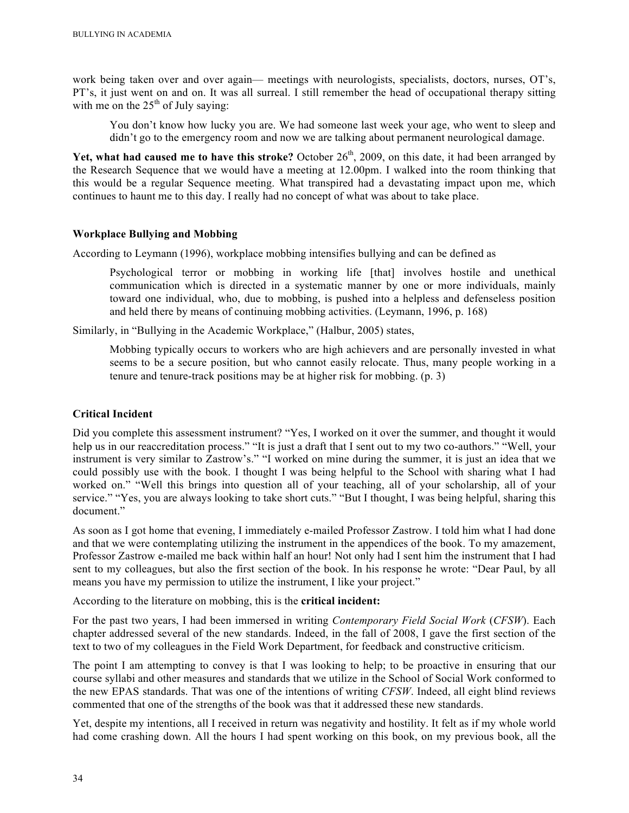work being taken over and over again— meetings with neurologists, specialists, doctors, nurses, OT's, PT's, it just went on and on. It was all surreal. I still remember the head of occupational therapy sitting with me on the  $25<sup>th</sup>$  of July saying:

You don't know how lucky you are. We had someone last week your age, who went to sleep and didn't go to the emergency room and now we are talking about permanent neurological damage.

Yet, what had caused me to have this stroke? October 26<sup>th</sup>, 2009, on this date, it had been arranged by the Research Sequence that we would have a meeting at 12.00pm. I walked into the room thinking that this would be a regular Sequence meeting. What transpired had a devastating impact upon me, which continues to haunt me to this day. I really had no concept of what was about to take place.

## **Workplace Bullying and Mobbing**

According to Leymann (1996), workplace mobbing intensifies bullying and can be defined as

Psychological terror or mobbing in working life [that] involves hostile and unethical communication which is directed in a systematic manner by one or more individuals, mainly toward one individual, who, due to mobbing, is pushed into a helpless and defenseless position and held there by means of continuing mobbing activities. (Leymann, 1996, p. 168)

Similarly, in "Bullying in the Academic Workplace," (Halbur, 2005) states,

Mobbing typically occurs to workers who are high achievers and are personally invested in what seems to be a secure position, but who cannot easily relocate. Thus, many people working in a tenure and tenure-track positions may be at higher risk for mobbing. (p. 3)

#### **Critical Incident**

Did you complete this assessment instrument? "Yes, I worked on it over the summer, and thought it would help us in our reaccreditation process." "It is just a draft that I sent out to my two co-authors." "Well, your instrument is very similar to Zastrow's." "I worked on mine during the summer, it is just an idea that we could possibly use with the book. I thought I was being helpful to the School with sharing what I had worked on." "Well this brings into question all of your teaching, all of your scholarship, all of your service." "Yes, you are always looking to take short cuts." "But I thought, I was being helpful, sharing this document."

As soon as I got home that evening, I immediately e-mailed Professor Zastrow. I told him what I had done and that we were contemplating utilizing the instrument in the appendices of the book. To my amazement, Professor Zastrow e-mailed me back within half an hour! Not only had I sent him the instrument that I had sent to my colleagues, but also the first section of the book. In his response he wrote: "Dear Paul, by all means you have my permission to utilize the instrument, I like your project."

According to the literature on mobbing, this is the **critical incident:**

For the past two years, I had been immersed in writing *Contemporary Field Social Work* (*CFSW*). Each chapter addressed several of the new standards. Indeed, in the fall of 2008, I gave the first section of the text to two of my colleagues in the Field Work Department, for feedback and constructive criticism.

The point I am attempting to convey is that I was looking to help; to be proactive in ensuring that our course syllabi and other measures and standards that we utilize in the School of Social Work conformed to the new EPAS standards. That was one of the intentions of writing *CFSW*. Indeed, all eight blind reviews commented that one of the strengths of the book was that it addressed these new standards.

Yet, despite my intentions, all I received in return was negativity and hostility. It felt as if my whole world had come crashing down. All the hours I had spent working on this book, on my previous book, all the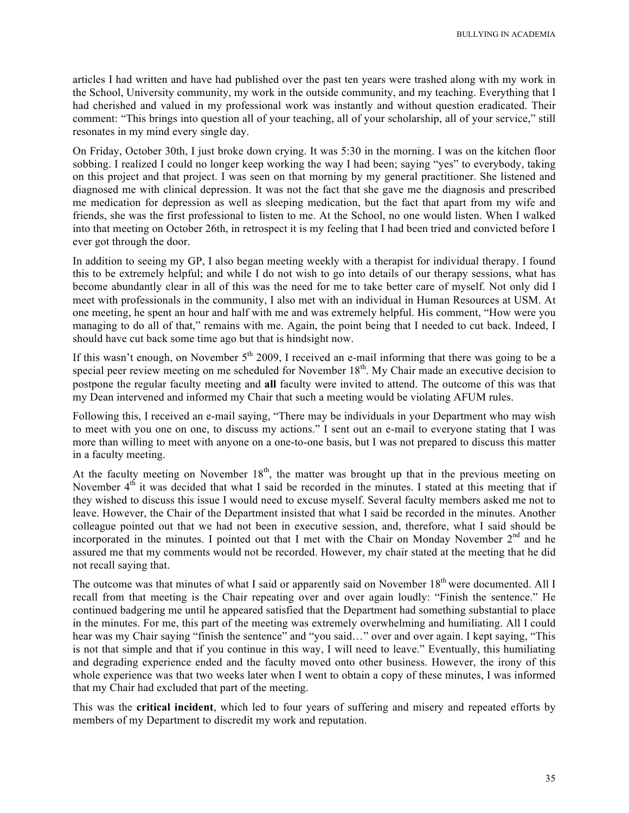articles I had written and have had published over the past ten years were trashed along with my work in the School, University community, my work in the outside community, and my teaching. Everything that I had cherished and valued in my professional work was instantly and without question eradicated. Their comment: "This brings into question all of your teaching, all of your scholarship, all of your service," still resonates in my mind every single day.

On Friday, October 30th, I just broke down crying. It was 5:30 in the morning. I was on the kitchen floor sobbing. I realized I could no longer keep working the way I had been; saying "yes" to everybody, taking on this project and that project. I was seen on that morning by my general practitioner. She listened and diagnosed me with clinical depression. It was not the fact that she gave me the diagnosis and prescribed me medication for depression as well as sleeping medication, but the fact that apart from my wife and friends, she was the first professional to listen to me. At the School, no one would listen. When I walked into that meeting on October 26th, in retrospect it is my feeling that I had been tried and convicted before I ever got through the door.

In addition to seeing my GP, I also began meeting weekly with a therapist for individual therapy. I found this to be extremely helpful; and while I do not wish to go into details of our therapy sessions, what has become abundantly clear in all of this was the need for me to take better care of myself. Not only did I meet with professionals in the community, I also met with an individual in Human Resources at USM. At one meeting, he spent an hour and half with me and was extremely helpful. His comment, "How were you managing to do all of that," remains with me. Again, the point being that I needed to cut back. Indeed, I should have cut back some time ago but that is hindsight now.

If this wasn't enough, on November  $5<sup>th</sup>$  2009. I received an e-mail informing that there was going to be a special peer review meeting on me scheduled for November  $18<sup>th</sup>$ . My Chair made an executive decision to postpone the regular faculty meeting and **all** faculty were invited to attend. The outcome of this was that my Dean intervened and informed my Chair that such a meeting would be violating AFUM rules.

Following this, I received an e-mail saying, "There may be individuals in your Department who may wish to meet with you one on one, to discuss my actions." I sent out an e-mail to everyone stating that I was more than willing to meet with anyone on a one-to-one basis, but I was not prepared to discuss this matter in a faculty meeting.

At the faculty meeting on November  $18<sup>th</sup>$ , the matter was brought up that in the previous meeting on November  $4<sup>th</sup>$  it was decided that what I said be recorded in the minutes. I stated at this meeting that if they wished to discuss this issue I would need to excuse myself. Several faculty members asked me not to leave. However, the Chair of the Department insisted that what I said be recorded in the minutes. Another colleague pointed out that we had not been in executive session, and, therefore, what I said should be incorporated in the minutes. I pointed out that I met with the Chair on Monday November  $2<sup>nd</sup>$  and he assured me that my comments would not be recorded. However, my chair stated at the meeting that he did not recall saying that.

The outcome was that minutes of what I said or apparently said on November 18<sup>th</sup> were documented. All I recall from that meeting is the Chair repeating over and over again loudly: "Finish the sentence." He continued badgering me until he appeared satisfied that the Department had something substantial to place in the minutes. For me, this part of the meeting was extremely overwhelming and humiliating. All I could hear was my Chair saying "finish the sentence" and "you said…" over and over again. I kept saying, "This is not that simple and that if you continue in this way, I will need to leave." Eventually, this humiliating and degrading experience ended and the faculty moved onto other business. However, the irony of this whole experience was that two weeks later when I went to obtain a copy of these minutes, I was informed that my Chair had excluded that part of the meeting.

This was the **critical incident**, which led to four years of suffering and misery and repeated efforts by members of my Department to discredit my work and reputation.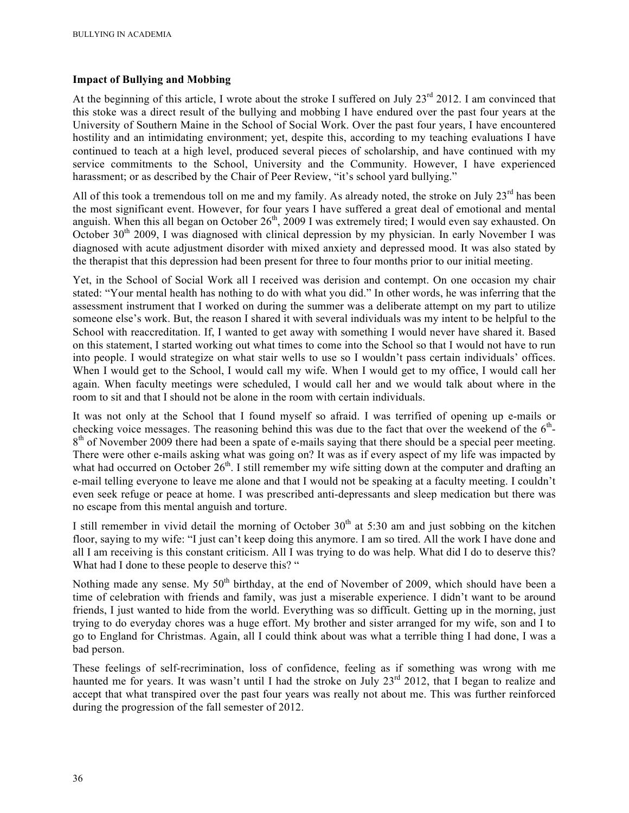## **Impact of Bullying and Mobbing**

At the beginning of this article, I wrote about the stroke I suffered on July 23<sup>rd</sup> 2012. I am convinced that this stoke was a direct result of the bullying and mobbing I have endured over the past four years at the University of Southern Maine in the School of Social Work. Over the past four years, I have encountered hostility and an intimidating environment; yet, despite this, according to my teaching evaluations I have continued to teach at a high level, produced several pieces of scholarship, and have continued with my service commitments to the School, University and the Community. However, I have experienced harassment; or as described by the Chair of Peer Review, "it's school yard bullying."

All of this took a tremendous toll on me and my family. As already noted, the stroke on July  $23<sup>rd</sup>$  has been the most significant event. However, for four years I have suffered a great deal of emotional and mental anguish. When this all began on October  $26<sup>th</sup>$ , 2009 I was extremely tired; I would even say exhausted. On October  $30<sup>th</sup>$  2009, I was diagnosed with clinical depression by my physician. In early November I was diagnosed with acute adjustment disorder with mixed anxiety and depressed mood. It was also stated by the therapist that this depression had been present for three to four months prior to our initial meeting.

Yet, in the School of Social Work all I received was derision and contempt. On one occasion my chair stated: "Your mental health has nothing to do with what you did." In other words, he was inferring that the assessment instrument that I worked on during the summer was a deliberate attempt on my part to utilize someone else's work. But, the reason I shared it with several individuals was my intent to be helpful to the School with reaccreditation. If, I wanted to get away with something I would never have shared it. Based on this statement, I started working out what times to come into the School so that I would not have to run into people. I would strategize on what stair wells to use so I wouldn't pass certain individuals' offices. When I would get to the School, I would call my wife. When I would get to my office, I would call her again. When faculty meetings were scheduled, I would call her and we would talk about where in the room to sit and that I should not be alone in the room with certain individuals.

It was not only at the School that I found myself so afraid. I was terrified of opening up e-mails or checking voice messages. The reasoning behind this was due to the fact that over the weekend of the  $6<sup>th</sup>$ - $8<sup>th</sup>$  of November 2009 there had been a spate of e-mails saying that there should be a special peer meeting. There were other e-mails asking what was going on? It was as if every aspect of my life was impacted by what had occurred on October  $26<sup>th</sup>$ . I still remember my wife sitting down at the computer and drafting an e-mail telling everyone to leave me alone and that I would not be speaking at a faculty meeting. I couldn't even seek refuge or peace at home. I was prescribed anti-depressants and sleep medication but there was no escape from this mental anguish and torture.

I still remember in vivid detail the morning of October  $30<sup>th</sup>$  at 5:30 am and just sobbing on the kitchen floor, saying to my wife: "I just can't keep doing this anymore. I am so tired. All the work I have done and all I am receiving is this constant criticism. All I was trying to do was help. What did I do to deserve this? What had I done to these people to deserve this? "

Nothing made any sense. My 50<sup>th</sup> birthday, at the end of November of 2009, which should have been a time of celebration with friends and family, was just a miserable experience. I didn't want to be around friends, I just wanted to hide from the world. Everything was so difficult. Getting up in the morning, just trying to do everyday chores was a huge effort. My brother and sister arranged for my wife, son and I to go to England for Christmas. Again, all I could think about was what a terrible thing I had done, I was a bad person.

These feelings of self-recrimination, loss of confidence, feeling as if something was wrong with me haunted me for years. It was wasn't until I had the stroke on July 23<sup>rd</sup> 2012, that I began to realize and accept that what transpired over the past four years was really not about me. This was further reinforced during the progression of the fall semester of 2012.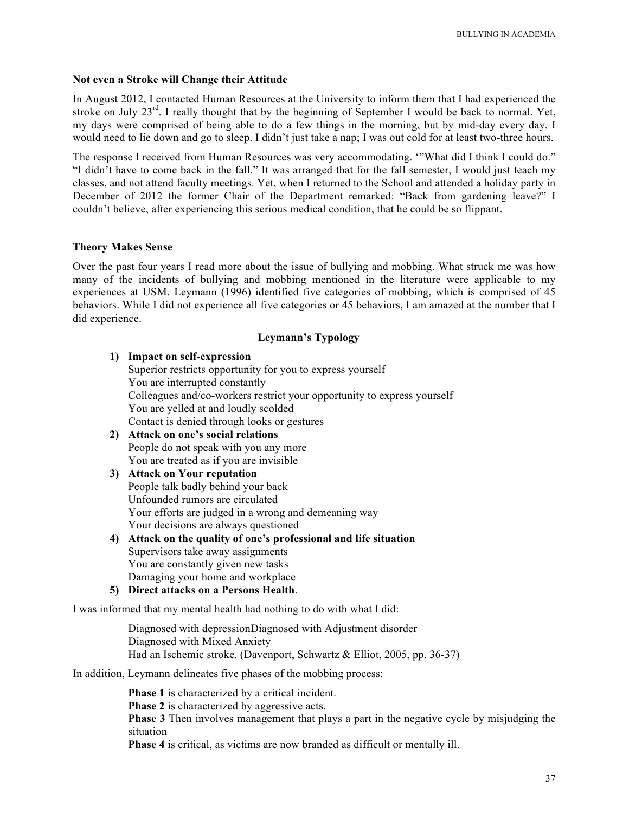#### **Not even a Stroke will Change their Attitude**

In August 2012, I contacted Human Resources at the University to inform them that I had experienced the stroke on July 23<sup>rd</sup>. I really thought that by the beginning of September I would be back to normal. Yet, my days were comprised of being able to do a few things in the morning, but by mid-day every day, I would need to lie down and go to sleep. I didn't just take a nap; I was out cold for at least two-three hours.

The response I received from Human Resources was very accommodating. '"What did I think I could do." "I didn't have to come back in the fall." It was arranged that for the fall semester, I would just teach my classes, and not attend faculty meetings. Yet, when I returned to the School and attended a holiday party in December of 2012 the former Chair of the Department remarked: "Back from gardening leave?" I couldn't believe, after experiencing this serious medical condition, that he could be so flippant.

#### **Theory Makes Sense**

Over the past four years I read more about the issue of bullying and mobbing. What struck me was how many of the incidents of bullying and mobbing mentioned in the literature were applicable to my experiences at USM. Leymann (1996) identified five categories of mobbing, which is comprised of 45 behaviors. While I did not experience all five categories or 45 behaviors, I am amazed at the number that I did experience.

## **Leymann's Typology**

- **1) Impact on self-expression**
	- Superior restricts opportunity for you to express yourself You are interrupted constantly Colleagues and/co-workers restrict your opportunity to express yourself You are yelled at and loudly scolded Contact is denied through looks or gestures
- **2) Attack on one's social relations** People do not speak with you any more You are treated as if you are invisible
- **3) Attack on Your reputation** People talk badly behind your back Unfounded rumors are circulated Your efforts are judged in a wrong and demeaning way Your decisions are always questioned
- **4) Attack on the quality of one's professional and life situation** Supervisors take away assignments You are constantly given new tasks Damaging your home and workplace
- **5) Direct attacks on a Persons Health**.

I was informed that my mental health had nothing to do with what I did:

Diagnosed with depressionDiagnosed with Adjustment disorder Diagnosed with Mixed Anxiety Had an Ischemic stroke. (Davenport, Schwartz & Elliot, 2005, pp. 36-37)

In addition, Leymann delineates five phases of the mobbing process:

**Phase 1** is characterized by a critical incident.

**Phase 2** is characterized by aggressive acts.

**Phase 3** Then involves management that plays a part in the negative cycle by misjudging the situation

**Phase 4** is critical, as victims are now branded as difficult or mentally ill.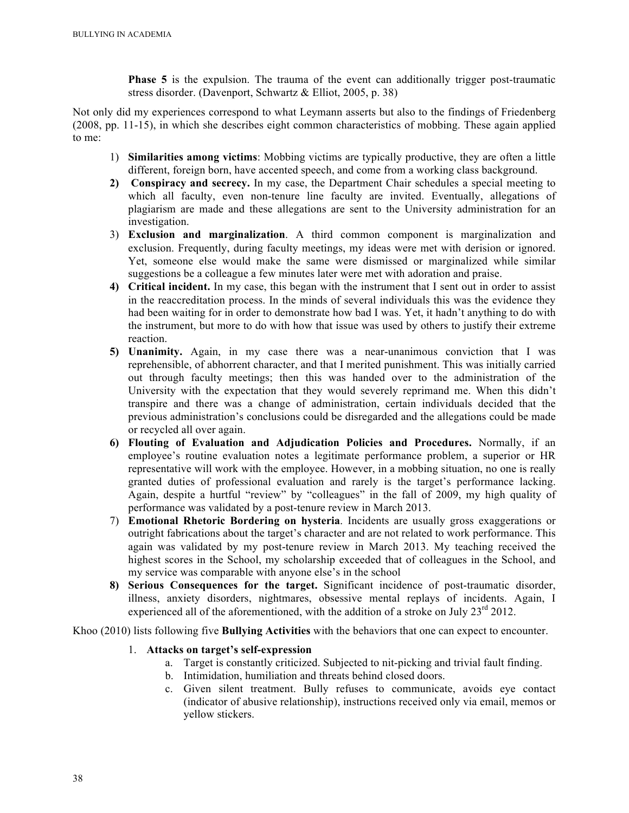**Phase 5** is the expulsion. The trauma of the event can additionally trigger post-traumatic stress disorder. (Davenport, Schwartz & Elliot, 2005, p. 38)

Not only did my experiences correspond to what Leymann asserts but also to the findings of Friedenberg (2008, pp. 11-15), in which she describes eight common characteristics of mobbing. These again applied to me:

- 1) **Similarities among victims**: Mobbing victims are typically productive, they are often a little different, foreign born, have accented speech, and come from a working class background.
- **2) Conspiracy and secrecy.** In my case, the Department Chair schedules a special meeting to which all faculty, even non-tenure line faculty are invited. Eventually, allegations of plagiarism are made and these allegations are sent to the University administration for an investigation.
- 3) **Exclusion and marginalization**. A third common component is marginalization and exclusion. Frequently, during faculty meetings, my ideas were met with derision or ignored. Yet, someone else would make the same were dismissed or marginalized while similar suggestions be a colleague a few minutes later were met with adoration and praise.
- **4) Critical incident.** In my case, this began with the instrument that I sent out in order to assist in the reaccreditation process. In the minds of several individuals this was the evidence they had been waiting for in order to demonstrate how bad I was. Yet, it hadn't anything to do with the instrument, but more to do with how that issue was used by others to justify their extreme reaction.
- **5) Unanimity.** Again, in my case there was a near-unanimous conviction that I was reprehensible, of abhorrent character, and that I merited punishment. This was initially carried out through faculty meetings; then this was handed over to the administration of the University with the expectation that they would severely reprimand me. When this didn't transpire and there was a change of administration, certain individuals decided that the previous administration's conclusions could be disregarded and the allegations could be made or recycled all over again.
- **6) Flouting of Evaluation and Adjudication Policies and Procedures.** Normally, if an employee's routine evaluation notes a legitimate performance problem, a superior or HR representative will work with the employee. However, in a mobbing situation, no one is really granted duties of professional evaluation and rarely is the target's performance lacking. Again, despite a hurtful "review" by "colleagues" in the fall of 2009, my high quality of performance was validated by a post-tenure review in March 2013.
- 7) **Emotional Rhetoric Bordering on hysteria**. Incidents are usually gross exaggerations or outright fabrications about the target's character and are not related to work performance. This again was validated by my post-tenure review in March 2013. My teaching received the highest scores in the School, my scholarship exceeded that of colleagues in the School, and my service was comparable with anyone else's in the school
- **8) Serious Consequences for the target.** Significant incidence of post-traumatic disorder, illness, anxiety disorders, nightmares, obsessive mental replays of incidents. Again, I experienced all of the aforementioned, with the addition of a stroke on July  $23^{\text{rd}}$  2012.

Khoo (2010) lists following five **Bullying Activities** with the behaviors that one can expect to encounter.

## 1. **Attacks on target's self-expression**

- a. Target is constantly criticized. Subjected to nit-picking and trivial fault finding.
- b. Intimidation, humiliation and threats behind closed doors.
- c. Given silent treatment. Bully refuses to communicate, avoids eye contact (indicator of abusive relationship), instructions received only via email, memos or yellow stickers.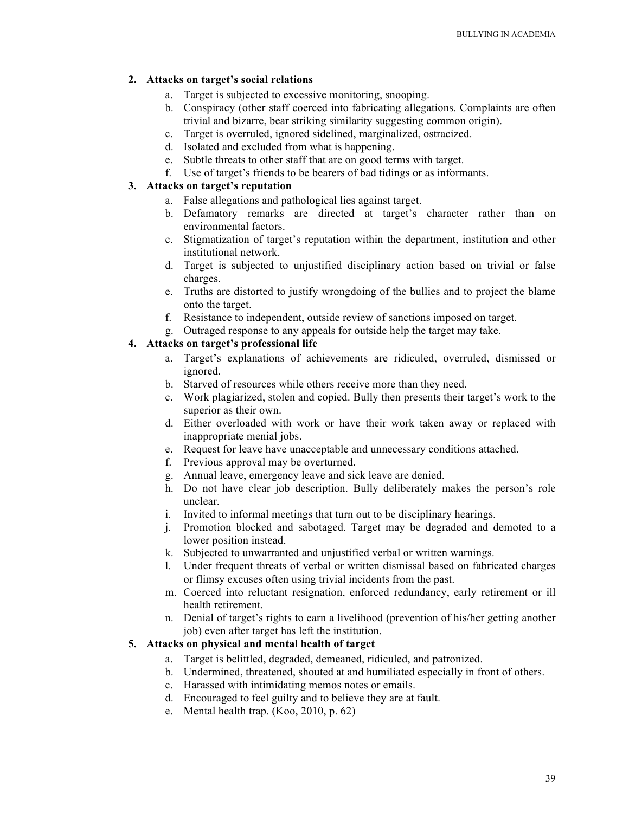## **2. Attacks on target's social relations**

- a. Target is subjected to excessive monitoring, snooping.
- b. Conspiracy (other staff coerced into fabricating allegations. Complaints are often trivial and bizarre, bear striking similarity suggesting common origin).
- c. Target is overruled, ignored sidelined, marginalized, ostracized.
- d. Isolated and excluded from what is happening.
- e. Subtle threats to other staff that are on good terms with target.
- f. Use of target's friends to be bearers of bad tidings or as informants.

## **3. Attacks on target's reputation**

- a. False allegations and pathological lies against target.
- b. Defamatory remarks are directed at target's character rather than on environmental factors.
- c. Stigmatization of target's reputation within the department, institution and other institutional network.
- d. Target is subjected to unjustified disciplinary action based on trivial or false charges.
- e. Truths are distorted to justify wrongdoing of the bullies and to project the blame onto the target.
- f. Resistance to independent, outside review of sanctions imposed on target.
- g. Outraged response to any appeals for outside help the target may take.

## **4. Attacks on target's professional life**

- a. Target's explanations of achievements are ridiculed, overruled, dismissed or ignored.
- b. Starved of resources while others receive more than they need.
- c. Work plagiarized, stolen and copied. Bully then presents their target's work to the superior as their own.
- d. Either overloaded with work or have their work taken away or replaced with inappropriate menial jobs.
- e. Request for leave have unacceptable and unnecessary conditions attached.
- f. Previous approval may be overturned.
- g. Annual leave, emergency leave and sick leave are denied.
- h. Do not have clear job description. Bully deliberately makes the person's role unclear.
- i. Invited to informal meetings that turn out to be disciplinary hearings.
- j. Promotion blocked and sabotaged. Target may be degraded and demoted to a lower position instead.
- k. Subjected to unwarranted and unjustified verbal or written warnings.
- l. Under frequent threats of verbal or written dismissal based on fabricated charges or flimsy excuses often using trivial incidents from the past.
- m. Coerced into reluctant resignation, enforced redundancy, early retirement or ill health retirement.
- n. Denial of target's rights to earn a livelihood (prevention of his/her getting another job) even after target has left the institution.

## **5. Attacks on physical and mental health of target**

- a. Target is belittled, degraded, demeaned, ridiculed, and patronized.
- b. Undermined, threatened, shouted at and humiliated especially in front of others.
- c. Harassed with intimidating memos notes or emails.
- d. Encouraged to feel guilty and to believe they are at fault.
- e. Mental health trap. (Koo, 2010, p. 62)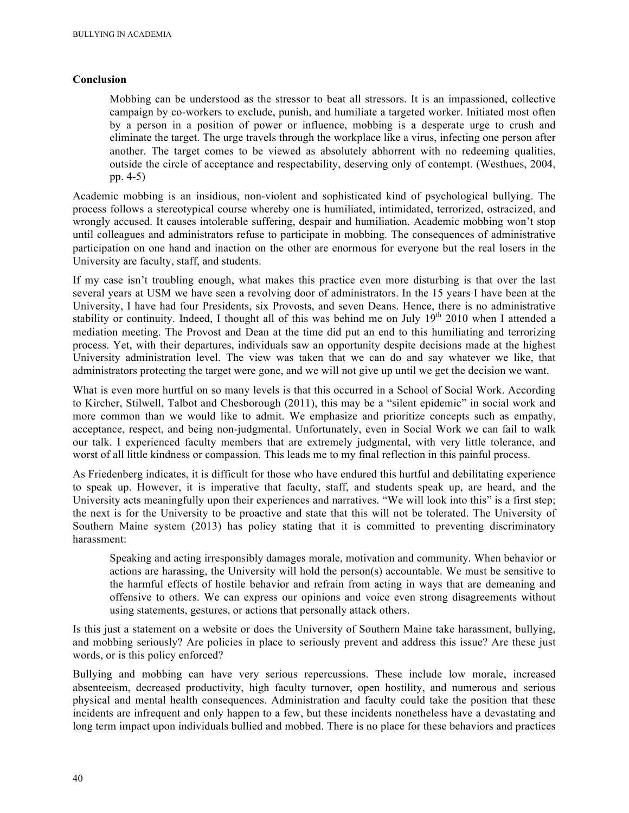## **Conclusion**

Mobbing can be understood as the stressor to beat all stressors. It is an impassioned, collective campaign by co-workers to exclude, punish, and humiliate a targeted worker. Initiated most often by a person in a position of power or influence, mobbing is a desperate urge to crush and eliminate the target. The urge travels through the workplace like a virus, infecting one person after another. The target comes to be viewed as absolutely abhorrent with no redeeming qualities, outside the circle of acceptance and respectability, deserving only of contempt. (Westhues, 2004, pp. 4-5)

Academic mobbing is an insidious, non-violent and sophisticated kind of psychological bullying. The process follows a stereotypical course whereby one is humiliated, intimidated, terrorized, ostracized, and wrongly accused. It causes intolerable suffering, despair and humiliation. Academic mobbing won't stop until colleagues and administrators refuse to participate in mobbing. The consequences of administrative participation on one hand and inaction on the other are enormous for everyone but the real losers in the University are faculty, staff, and students.

If my case isn't troubling enough, what makes this practice even more disturbing is that over the last several years at USM we have seen a revolving door of administrators. In the 15 years I have been at the University, I have had four Presidents, six Provosts, and seven Deans. Hence, there is no administrative stability or continuity. Indeed, I thought all of this was behind me on July  $19<sup>th</sup> 2010$  when I attended a mediation meeting. The Provost and Dean at the time did put an end to this humiliating and terrorizing process. Yet, with their departures, individuals saw an opportunity despite decisions made at the highest University administration level. The view was taken that we can do and say whatever we like, that administrators protecting the target were gone, and we will not give up until we get the decision we want.

What is even more hurtful on so many levels is that this occurred in a School of Social Work. According to Kircher, Stilwell, Talbot and Chesborough (2011), this may be a "silent epidemic" in social work and more common than we would like to admit. We emphasize and prioritize concepts such as empathy, acceptance, respect, and being non-judgmental. Unfortunately, even in Social Work we can fail to walk our talk. I experienced faculty members that are extremely judgmental, with very little tolerance, and worst of all little kindness or compassion. This leads me to my final reflection in this painful process.

As Friedenberg indicates, it is difficult for those who have endured this hurtful and debilitating experience to speak up. However, it is imperative that faculty, staff, and students speak up, are heard, and the University acts meaningfully upon their experiences and narratives. "We will look into this" is a first step; the next is for the University to be proactive and state that this will not be tolerated. The University of Southern Maine system (2013) has policy stating that it is committed to preventing discriminatory harassment:

Speaking and acting irresponsibly damages morale, motivation and community. When behavior or actions are harassing, the University will hold the person(s) accountable. We must be sensitive to the harmful effects of hostile behavior and refrain from acting in ways that are demeaning and offensive to others. We can express our opinions and voice even strong disagreements without using statements, gestures, or actions that personally attack others.

Is this just a statement on a website or does the University of Southern Maine take harassment, bullying, and mobbing seriously? Are policies in place to seriously prevent and address this issue? Are these just words, or is this policy enforced?

Bullying and mobbing can have very serious repercussions. These include low morale, increased absenteeism, decreased productivity, high faculty turnover, open hostility, and numerous and serious physical and mental health consequences. Administration and faculty could take the position that these incidents are infrequent and only happen to a few, but these incidents nonetheless have a devastating and long term impact upon individuals bullied and mobbed. There is no place for these behaviors and practices